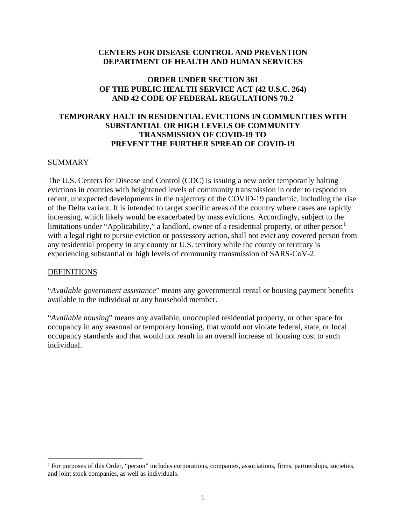## **CENTERS FOR DISEASE CONTROL AND PREVENTION DEPARTMENT OF HEALTH AND HUMAN SERVICES**

## **ORDER UNDER SECTION 361 OF THE PUBLIC HEALTH SERVICE ACT (42 U.S.C. 264) AND 42 CODE OF FEDERAL REGULATIONS 70.2**

## **TEMPORARY HALT IN RESIDENTIAL EVICTIONS IN COMMUNITIES WITH SUBSTANTIAL OR HIGH LEVELS OF COMMUNITY TRANSMISSION OF COVID-19 TO PREVENT THE FURTHER SPREAD OF COVID-19**

#### SUMMARY

The U.S. Centers for Disease and Control (CDC) is issuing a new order temporarily halting evictions in counties with heightened levels of community transmission in order to respond to recent, unexpected developments in the trajectory of the COVID-19 pandemic, including the rise of the Delta variant. It is intended to target specific areas of the country where cases are rapidly increasing, which likely would be exacerbated by mass evictions. Accordingly, subject to the limitations under "Applicability," a landlord, owner of a residential property, or other person<sup>[1](#page-0-0)</sup> with a legal right to pursue eviction or possessory action, shall not evict any covered person from any residential property in any county or U.S. territory while the county or territory is experiencing substantial or high levels of community transmission of SARS-CoV-2.

#### **DEFINITIONS**

"*Available government assistance*" means any governmental rental or housing payment benefits available to the individual or any household member.

"*Available housing*" means any available, unoccupied residential property, or other space for occupancy in any seasonal or temporary housing, that would not violate federal, state, or local occupancy standards and that would not result in an overall increase of housing cost to such individual.

<span id="page-0-0"></span><sup>&</sup>lt;sup>1</sup> For purposes of this Order, "person" includes corporations, companies, associations, firms, partnerships, societies, and joint stock companies, as well as individuals.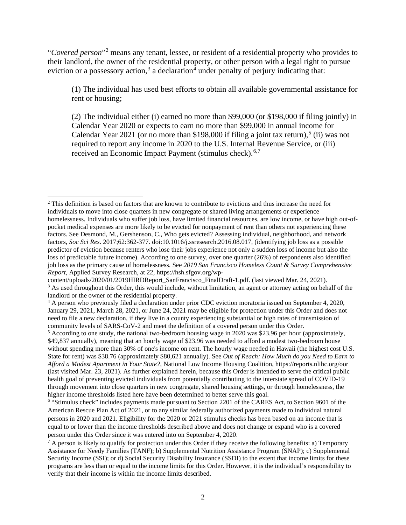"*Covered person*"[2](#page-1-0) means any tenant, lessee, or resident of a residential property who provides to their landlord, the owner of the residential property, or other person with a legal right to pursue eviction or a possessory action,<sup>[3](#page-1-1)</sup> a declaration<sup>[4](#page-1-2)</sup> under penalty of perjury indicating that:

(1) The individual has used best efforts to obtain all available governmental assistance for rent or housing;

(2) The individual either (i) earned no more than \$99,000 (or \$198,000 if filing jointly) in Calendar Year 2020 or expects to earn no more than \$99,000 in annual income for Calendar Year 2021 (or no more than \$198,000 if filing a joint tax return),<sup>[5](#page-1-3)</sup> (ii) was not required to report any income in 2020 to the U.S. Internal Revenue Service, or (iii) received an Economic Impact Payment (stimulus check).<sup>[6](#page-1-4),[7](#page-1-5)</sup>

<span id="page-1-0"></span><sup>2</sup> This definition is based on factors that are known to contribute to evictions and thus increase the need for individuals to move into close quarters in new congregate or shared living arrangements or experience homelessness. Individuals who suffer job loss, have limited financial resources, are low income, or have high out-ofpocket medical expenses are more likely to be evicted for nonpayment of rent than others not experiencing these factors. See Desmond, M., Gershenson, C., Who gets evicted? Assessing individual, neighborhood, and network factors, *Soc Sci Res*. 2017;62:362-377. doi:10.1016/j.ssresearch.2016.08.017, (identifying job loss as a possible predictor of eviction because renters who lose their jobs experience not only a sudden loss of income but also the loss of predictable future income). According to one survey, over one quarter (26%) of respondents also identified job loss as the primary cause of homelessness. See *2019 San Francisco Homeless Count & Survey Comprehensive Report*, Applied Survey Research, at 22, https://hsh.sfgov.org/wp-

<span id="page-1-1"></span>content/uploads/2020/01/2019HIRDReport\_SanFrancisco\_FinalDraft-1.pdf. (last viewed Mar. 24, 2021).<br><sup>3</sup> As used throughout this Order, this would include, without limitation, an agent or attorney acting on behalf of the landlord or the owner of the residential property.

<span id="page-1-2"></span><sup>4</sup> A person who previously filed a declaration under prior CDC eviction moratoria issued on September 4, 2020, January 29, 2021, March 28, 2021, or June 24, 2021 may be eligible for protection under this Order and does not need to file a new declaration, if they live in a county experiencing substantial or high rates of transmission of community levels of SARS-CoV-2 and meet the definition of a covered person under this Order.

<span id="page-1-3"></span><sup>5</sup> According to one study, the national two-bedroom housing wage in 2020 was \$23.96 per hour (approximately, \$49,837 annually), meaning that an hourly wage of \$23.96 was needed to afford a modest two-bedroom house without spending more than 30% of one's income on rent. The hourly wage needed in Hawaii (the highest cost U.S. State for rent) was \$38.76 (approximately \$80,621 annually). See *Out of Reach: How Much do you Need to Earn to Afford a Modest Apartment in Your State?*, National Low Income Housing Coalition, https://reports.nlihc.org/oor (last visited Mar. 23, 2021). As further explained herein, because this Order is intended to serve the critical public health goal of preventing evicted individuals from potentially contributing to the interstate spread of COVID-19 through movement into close quarters in new congregate, shared housing settings, or through homelessness, the higher income thresholds listed here have been determined to better serve this goal.

<span id="page-1-4"></span><sup>&</sup>lt;sup>6</sup> "Stimulus check" includes payments made pursuant to Section 2201 of the CARES Act, to Section 9601 of the American Rescue Plan Act of 2021, or to any similar federally authorized payments made to individual natural persons in 2020 and 2021. Eligibility for the 2020 or 2021 stimulus checks has been based on an income that is equal to or lower than the income thresholds described above and does not change or expand who is a covered person under this Order since it was entered into on September 4, 2020.

<span id="page-1-5"></span> $^7$  A person is likely to qualify for protection under this Order if they receive the following benefits: a) Temporary Assistance for Needy Families (TANF); b) Supplemental Nutrition Assistance Program (SNAP); c) Supplemental Security Income (SSI); or d) Social Security Disability Insurance (SSDI) to the extent that income limits for these programs are less than or equal to the income limits for this Order. However, it is the individual's responsibility to verify that their income is within the income limits described.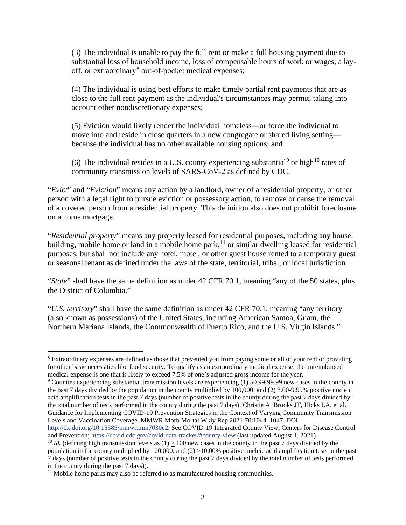(3) The individual is unable to pay the full rent or make a full housing payment due to substantial loss of household income, loss of compensable hours of work or wages, a lay-off, or extraordinary<sup>[8](#page-2-0)</sup> out-of-pocket medical expenses;

(4) The individual is using best efforts to make timely partial rent payments that are as close to the full rent payment as the individual's circumstances may permit, taking into account other nondiscretionary expenses;

(5) Eviction would likely render the individual homeless—or force the individual to move into and reside in close quarters in a new congregate or shared living setting because the individual has no other available housing options; and

(6) The individual resides in a U.S. county experiencing substantial<sup>[9](#page-2-1)</sup> or high<sup>[10](#page-2-2)</sup> rates of community transmission levels of SARS-CoV-2 as defined by CDC.

"*Evict*" and "*Eviction*" means any action by a landlord, owner of a residential property, or other person with a legal right to pursue eviction or possessory action, to remove or cause the removal of a covered person from a residential property. This definition also does not prohibit foreclosure on a home mortgage.

"*Residential property*" means any property leased for residential purposes, including any house, building, mobile home or land in a mobile home park, <sup>[11](#page-2-3)</sup> or similar dwelling leased for residential purposes, but shall not include any hotel, motel, or other guest house rented to a temporary guest or seasonal tenant as defined under the laws of the state, territorial, tribal, or local jurisdiction.

"*State*" shall have the same definition as under 42 CFR 70.1, meaning "any of the 50 states, plus the District of Columbia."

"*U.S. territory*" shall have the same definition as under 42 CFR 70.1, meaning "any territory (also known as possessions) of the United States, including American Samoa, Guam, the Northern Mariana Islands, the Commonwealth of Puerto Rico, and the U.S. Virgin Islands."

<span id="page-2-0"></span><sup>8</sup> Extraordinary expenses are defined as those that prevented you from paying some or all of your rent or providing for other basic necessities like food security. To qualify as an extraordinary medical expense, the unreimbursed medical expense is one that is likely to exceed 7.5% of one's adjusted gross income for the year.

<span id="page-2-1"></span><sup>9</sup> Counties experiencing substantial transmission levels are experiencing (1) 50.99-99.99 new cases in the county in the past 7 days divided by the population in the county multiplied by 100,000; and (2) 8.00-9.99% positive nucleic acid amplification tests in the past 7 days (number of positive tests in the county during the past 7 days divided by the total number of tests performed in the county during the past 7 days). Christie A, Brooks JT, Hicks LA, et al. Guidance for Implementing COVID-19 Prevention Strategies in the Context of Varying Community Transmission Levels and Vaccination Coverage. MMWR Morb Mortal Wkly Rep 2021;70:1044–1047. DOI:

[http://dx.doi.org/10.15585/mmwr.mm7030e2.](http://dx.doi.org/10.15585/mmwr.mm7030e2) See COVID-19 Integrated County View, Centers for Disease Control and Prevention[; https://covid.cdc.gov/covid-data-tracker/#county-view](https://covid.cdc.gov/covid-data-tracker/#county-view) (last updated August 1, 2021).

<span id="page-2-2"></span><sup>&</sup>lt;sup>10</sup> *Id.* (defining high transmission levels as  $(1) > 100$  new cases in the county in the past 7 days divided by the population in the county multiplied by 100,000; and  $(2) \ge 10.00\%$  positive nucleic acid amplification tests in the past 7 days (number of positive tests in the county during the past 7 days divided by the total number of tests performed in the county during the past 7 days)).

<span id="page-2-3"></span> $11$  Mobile home parks may also be referred to as manufactured housing communities.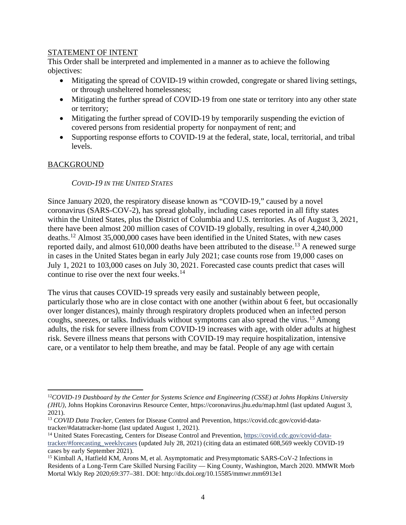## STATEMENT OF INTENT

This Order shall be interpreted and implemented in a manner as to achieve the following objectives:

- Mitigating the spread of COVID-19 within crowded, congregate or shared living settings, or through unsheltered homelessness;
- Mitigating the further spread of COVID-19 from one state or territory into any other state or territory;
- Mitigating the further spread of COVID-19 by temporarily suspending the eviction of covered persons from residential property for nonpayment of rent; and
- Supporting response efforts to COVID-19 at the federal, state, local, territorial, and tribal levels.

## BACKGROUND

## *COVID-19 IN THE UNITED STATES*

Since January 2020, the respiratory disease known as "COVID-19," caused by a novel coronavirus (SARS-COV-2), has spread globally, including cases reported in all fifty states within the United States, plus the District of Columbia and U.S. territories. As of August 3, 2021, there have been almost 200 million cases of COVID-19 globally, resulting in over 4,240,000 deaths.[12](#page-3-0) Almost 35,000,000 cases have been identified in the United States, with new cases reported daily, and almost  $610,000$  deaths have been attributed to the disease.<sup>[13](#page-3-1)</sup> A renewed surge in cases in the United States began in early July 2021; case counts rose from 19,000 cases on July 1, 2021 to 103,000 cases on July 30, 2021. Forecasted case counts predict that cases will continue to rise over the next four weeks.<sup>[14](#page-3-2)</sup>

The virus that causes COVID-19 spreads very easily and sustainably between people, particularly those who are in close contact with one another (within about 6 feet, but occasionally over longer distances), mainly through respiratory droplets produced when an infected person coughs, sneezes, or talks. Individuals without symptoms can also spread the virus. [15](#page-3-3) Among adults, the risk for severe illness from COVID-19 increases with age, with older adults at highest risk. Severe illness means that persons with COVID-19 may require hospitalization, intensive care, or a ventilator to help them breathe, and may be fatal. People of any age with certain

<span id="page-3-0"></span><sup>12</sup>*COVID-19 Dashboard by the Center for Systems Science and Engineering (CSSE) at Johns Hopkins University (JHU),* Johns Hopkins Coronavirus Resource Center, https://coronavirus.jhu.edu/map.html (last updated August 3, 2021).

<span id="page-3-1"></span><sup>13</sup> *COVID Data Tracker*, Centers for Disease Control and Prevention, https://covid.cdc.gov/covid-datatracker/#datatracker-home (last updated August 1, 2021).

<span id="page-3-2"></span><sup>14</sup> United States Forecasting, Centers for Disease Control and Prevention, [https://covid.cdc.gov/covid-data](https://covid.cdc.gov/covid-data-tracker/#forecasting_weeklycases)[tracker/#forecasting\\_weeklycases](https://covid.cdc.gov/covid-data-tracker/#forecasting_weeklycases) (updated July 28, 2021) (citing data an estimated 608,569 weekly COVID-19 cases by early September 2021).

<span id="page-3-3"></span><sup>&</sup>lt;sup>15</sup> Kimball A, Hatfield KM, Arons M, et al. Asymptomatic and Presymptomatic SARS-CoV-2 Infections in Residents of a Long-Term Care Skilled Nursing Facility — King County, Washington, March 2020. MMWR Morb Mortal Wkly Rep 2020;69:377–381. DOI: http://dx.doi.org/10.15585/mmwr.mm6913e1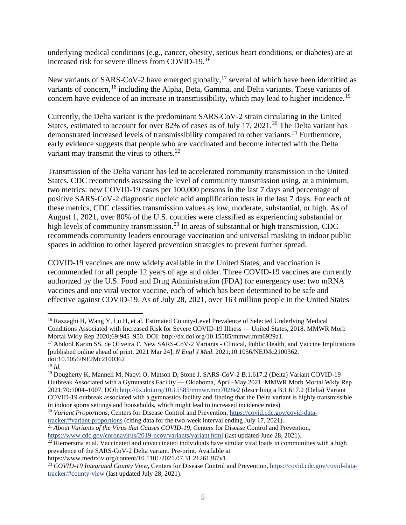underlying medical conditions (e.g., cancer, obesity, serious heart conditions, or diabetes) are at increased risk for severe illness from COVID-19.[16](#page-4-0)

New variants of SARS-CoV-2 have emerged globally,<sup>[17](#page-4-1)</sup> several of which have been identified as variants of concern,<sup>[18](#page-4-2)</sup> including the Alpha, Beta, Gamma, and Delta variants. These variants of concern have evidence of an increase in transmissibility, which may lead to higher incidence.<sup>[19](#page-4-3)</sup>

Currently, the Delta variant is the predominant SARS-CoV-2 strain circulating in the United States, estimated to account for over 82% of cases as of July 17, [20](#page-4-4)21.<sup>20</sup> The Delta variant has demonstrated increased levels of transmissibility compared to other variants.<sup>[21](#page-4-5)</sup> Furthermore, early evidence suggests that people who are vaccinated and become infected with the Delta variant may transmit the virus to others.<sup>[22](#page-4-6)</sup>

Transmission of the Delta variant has led to accelerated community transmission in the United States. CDC recommends assessing the level of community transmission using, at a minimum, two metrics: new COVID-19 cases per 100,000 persons in the last 7 days and percentage of positive SARS-CoV-2 diagnostic nucleic acid amplification tests in the last 7 days. For each of these metrics, CDC classifies transmission values as low, moderate, substantial, or high. As of August 1, 2021, over 80% of the U.S. counties were classified as experiencing substantial or high levels of community transmission.<sup>[23](#page-4-7)</sup> In areas of substantial or high transmission, CDC recommends community leaders encourage vaccination and universal masking in indoor public spaces in addition to other layered prevention strategies to prevent further spread.

COVID-19 vaccines are now widely available in the United States, and vaccination is recommended for all people 12 years of age and older. Three COVID-19 vaccines are currently authorized by the U.S. Food and Drug Administration (FDA) for emergency use: two mRNA vaccines and one viral vector vaccine, each of which has been determined to be safe and effective against COVID-19. As of July 28, 2021, over 163 million people in the United States

<span id="page-4-0"></span><sup>&</sup>lt;sup>16</sup> Razzaghi H, Wang Y, Lu H, et al. Estimated County-Level Prevalence of Selected Underlying Medical Conditions Associated with Increased Risk for Severe COVID-19 Illness — United States, 2018. MMWR Morb Mortal Wkly Rep 2020;69:945–950. DOI: http://dx.doi.org/10.15585/mmwr.mm6929a1.

<span id="page-4-1"></span><sup>&</sup>lt;sup>17</sup> Abdool Karim SS, de Oliveira T. New SARS-CoV-2 Variants - Clinical, Public Health, and Vaccine Implications [published online ahead of print, 2021 Mar 24]. *N Engl J Med*. 2021;10.1056/NEJMc2100362. doi:10.1056/NEJMc2100362

<span id="page-4-2"></span><sup>18</sup> *Id.*

<span id="page-4-3"></span><sup>&</sup>lt;sup>19</sup> Dougherty K, Mannell M, Naqvi O, Matson D, Stone J. SARS-CoV-2 B.1.617.2 (Delta) Variant COVID-19 Outbreak Associated with a Gymnastics Facility — Oklahoma, April–May 2021. MMWR Morb Mortal Wkly Rep 2021;70:1004–1007. DOI[: http://dx.doi.org/10.15585/mmwr.mm7028e2](http://dx.doi.org/10.15585/mmwr.mm7028e2) (describing a B.1.617.2 (Delta) Variant COVID-19 outbreak associated with a gymnastics facility and finding that the Delta variant is highly transmissible in indoor sports settings and households, which might lead to increased incidence rates).

<span id="page-4-4"></span><sup>20</sup> *Variant Proportions*, Centers for Disease Control and Prevention[, https://covid.cdc.gov/covid-data-](https://covid.cdc.gov/covid-data-tracker/#variant-proportions)

<span id="page-4-5"></span>tracker/#variant-proportions (citing data for the two-week interval ending July 17, 2021).<br><sup>21</sup> *About Variants of the Virus that Causes COVID-19*, Centers for Disease Control and Prevention,<br>https://www.cdc.gov/coronaviru

<span id="page-4-6"></span> $\frac{1}{22}$  Riemersma et al. Vaccinated and unvaccinated individuals have similar viral loads in communities with a high prevalence of the SARS-CoV-2 Delta variant. Pre-print. Available at

https://www.medrxiv.org/content/10.1101/2021.07.31.21261387v1.

<span id="page-4-7"></span><sup>23</sup> *COVID-19 Integrated County View*, Centers for Disease Control and Prevention, [https://covid.cdc.gov/covid-data](https://covid.cdc.gov/covid-data-tracker/#county-view)[tracker/#county-view](https://covid.cdc.gov/covid-data-tracker/#county-view) (last updated July 28, 2021).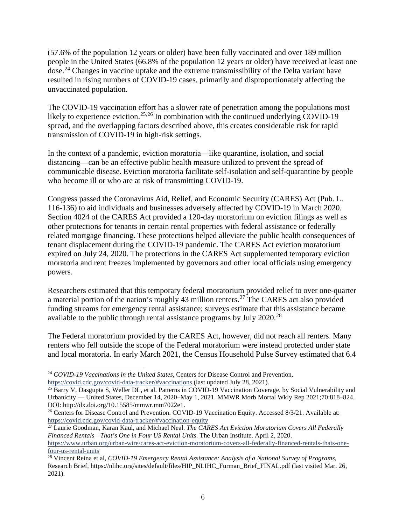(57.6% of the population 12 years or older) have been fully vaccinated and over 189 million people in the United States (66.8% of the population 12 years or older) have received at least one dose.[24](#page-5-0) Changes in vaccine uptake and the extreme transmissibility of the Delta variant have resulted in rising numbers of COVID-19 cases, primarily and disproportionately affecting the unvaccinated population.

The COVID-19 vaccination effort has a slower rate of penetration among the populations most likely to experience eviction.<sup>[25,](#page-5-1)[26](#page-5-2)</sup> In combination with the continued underlying COVID-19 spread, and the overlapping factors described above, this creates considerable risk for rapid transmission of COVID-19 in high-risk settings.

In the context of a pandemic, eviction moratoria—like quarantine, isolation, and social distancing—can be an effective public health measure utilized to prevent the spread of communicable disease. Eviction moratoria facilitate self-isolation and self-quarantine by people who become ill or who are at risk of transmitting COVID-19.

Congress passed the Coronavirus Aid, Relief, and Economic Security (CARES) Act (Pub. L. 116-136) to aid individuals and businesses adversely affected by COVID-19 in March 2020. Section 4024 of the CARES Act provided a 120-day moratorium on eviction filings as well as other protections for tenants in certain rental properties with federal assistance or federally related mortgage financing. These protections helped alleviate the public health consequences of tenant displacement during the COVID-19 pandemic. The CARES Act eviction moratorium expired on July 24, 2020. The protections in the CARES Act supplemented temporary eviction moratoria and rent freezes implemented by governors and other local officials using emergency powers.

Researchers estimated that this temporary federal moratorium provided relief to over one-quarter a material portion of the nation's roughly 43 million renters.<sup>[27](#page-5-3)</sup> The CARES act also provided funding streams for emergency rental assistance; surveys estimate that this assistance became available to the public through rental assistance programs by July  $2020.^{28}$  $2020.^{28}$  $2020.^{28}$ 

The Federal moratorium provided by the CARES Act, however, did not reach all renters. Many renters who fell outside the scope of the Federal moratorium were instead protected under state and local moratoria. In early March 2021, the Census Household Pulse Survey estimated that 6.4

<span id="page-5-3"></span><sup>27</sup> Laurie Goodman, Karan Kaul, and Michael Neal. *The CARES Act Eviction Moratorium Covers All Federally Financed Rentals—That's One in Four US Rental Units*. The Urban Institute. April 2, 2020. [https://www.urban.org/urban-wire/cares-act-eviction-moratorium-covers-all-federally-financed-rentals-thats-one](https://www.urban.org/urban-wire/cares-act-eviction-moratorium-covers-all-federally-financed-rentals-thats-one-four-us-rental-units)[four-us-rental-units](https://www.urban.org/urban-wire/cares-act-eviction-moratorium-covers-all-federally-financed-rentals-thats-one-four-us-rental-units)

<span id="page-5-0"></span><sup>24</sup> *COVID-19 Vaccinations in the United States*, Centers for Disease Control and Prevention, <https://covid.cdc.gov/covid-data-tracker/#vaccinations> (last updated July 28, 2021).

<span id="page-5-1"></span><sup>&</sup>lt;sup>25</sup> Barry V, Dasgupta S, Weller DL, et al. Patterns in COVID-19 Vaccination Coverage, by Social Vulnerability and Urbanicity — United States, December 14, 2020–May 1, 2021. MMWR Morb Mortal Wkly Rep 2021;70:818–824. DOI: http://dx.doi.org/10.15585/mmwr.mm7022e1.

<span id="page-5-2"></span><sup>&</sup>lt;sup>26</sup> Centers for Disease Control and Prevention. COVID-19 Vaccination Equity. Accessed 8/3/21. Available at: <https://covid.cdc.gov/covid-data-tracker/#vaccination-equity>

<span id="page-5-4"></span><sup>28</sup> Vincent Reina et al, *COVID-19 Emergency Rental Assistance: Analysis of a National Survey of Programs*, Research Brief, https://nlihc.org/sites/default/files/HIP\_NLIHC\_Furman\_Brief\_FINAL.pdf (last visited Mar. 26, 2021).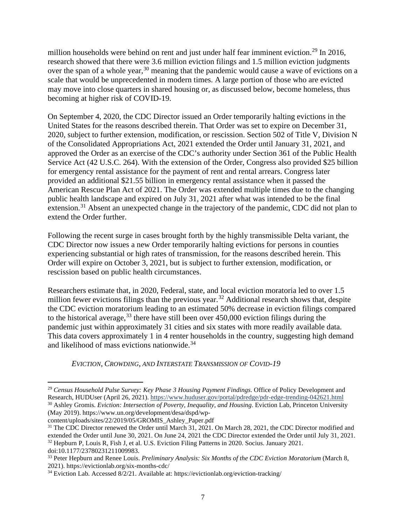million households were behind on rent and just under half fear imminent eviction.<sup>[29](#page-6-0)</sup> In 2016, research showed that there were 3.6 million eviction filings and 1.5 million eviction judgments over the span of a whole year,<sup>[30](#page-6-1)</sup> meaning that the pandemic would cause a wave of evictions on a scale that would be unprecedented in modern times. A large portion of those who are evicted may move into close quarters in shared housing or, as discussed below, become homeless, thus becoming at higher risk of COVID-19.

On September 4, 2020, the CDC Director issued an Order temporarily halting evictions in the United States for the reasons described therein. That Order was set to expire on December 31, 2020, subject to further extension, modification, or rescission. Section 502 of Title V, Division N of the Consolidated Appropriations Act, 2021 extended the Order until January 31, 2021, and approved the Order as an exercise of the CDC's authority under Section 361 of the Public Health Service Act (42 U.S.C. 264). With the extension of the Order, Congress also provided \$25 billion for emergency rental assistance for the payment of rent and rental arrears. Congress later provided an additional \$21.55 billion in emergency rental assistance when it passed the American Rescue Plan Act of 2021. The Order was extended multiple times due to the changing public health landscape and expired on July 31, 2021 after what was intended to be the final extension.<sup>[31](#page-6-2)</sup> Absent an unexpected change in the trajectory of the pandemic, CDC did not plan to extend the Order further.

Following the recent surge in cases brought forth by the highly transmissible Delta variant, the CDC Director now issues a new Order temporarily halting evictions for persons in counties experiencing substantial or high rates of transmission, for the reasons described herein. This Order will expire on October 3, 2021, but is subject to further extension, modification, or rescission based on public health circumstances.

Researchers estimate that, in 2020, Federal, state, and local eviction moratoria led to over 1.5 million fewer evictions filings than the previous year.<sup>[32](#page-6-3)</sup> Additional research shows that, despite the CDC eviction moratorium leading to an estimated 50% decrease in eviction filings compared to the historical average,  $33$  there have still been over 450,000 eviction filings during the pandemic just within approximately 31 cities and six states with more readily available data. This data covers approximately 1 in 4 renter households in the country, suggesting high demand and likelihood of mass evictions nationwide. [34](#page-6-5)

*EVICTION, CROWDING, AND INTERSTATE TRANSMISSION OF COVID-19*

<span id="page-6-1"></span>content/uploads/sites/22/2019/05/GROMIS\_Ashley\_Paper.pdf

<span id="page-6-0"></span><sup>29</sup> *Census Household Pulse Survey: Key Phase 3 Housing Payment Findings*. Office of Policy Development and Research, HUDUser (April 26, 2021).<https://www.huduser.gov/portal/pdredge/pdr-edge-trending-042621.html> <sup>30</sup> Ashley Gromis. *Eviction: Intersection of Poverty, Inequality, and Housing*. Eviction Lab, Princeton University (May 2019). https://www.un.org/development/desa/dspd/wp-

<span id="page-6-3"></span><span id="page-6-2"></span><sup>&</sup>lt;sup>31</sup> The CDC Director renewed the Order until March 31, 2021. On March 28, 2021, the CDC Director modified and extended the Order until June 30, 2021. On June 24, 2021 the CDC Director extended the Order until July 31, 2021. <sup>32</sup> Hepburn P, Louis R, Fish J, et al. U.S. Eviction Filing Patterns in 2020. Socius. January 2021. doi:10.1177/23780231211009983.

<span id="page-6-4"></span><sup>33</sup> Peter Hepburn and Renee Louis. *Preliminary Analysis: Six Months of the CDC Eviction Moratorium* (March 8, 2021). https://evictionlab.org/six-months-cdc/

<span id="page-6-5"></span><sup>34</sup> Eviction Lab. Accessed 8/2/21. Available at: https://evictionlab.org/eviction-tracking/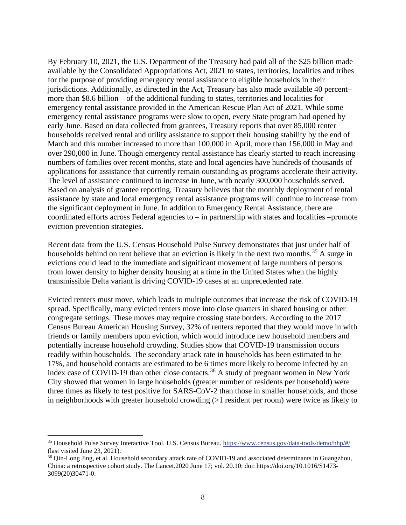By February 10, 2021, the U.S. Department of the Treasury had paid all of the \$25 billion made available by the Consolidated Appropriations Act, 2021 to states, territories, localities and tribes for the purpose of providing emergency rental assistance to eligible households in their jurisdictions. Additionally, as directed in the Act, Treasury has also made available 40 percent– more than \$8.6 billion—of the additional funding to states, territories and localities for emergency rental assistance provided in the American Rescue Plan Act of 2021. While some emergency rental assistance programs were slow to open, every State program had opened by early June. Based on data collected from grantees, Treasury reports that over 85,000 renter households received rental and utility assistance to support their housing stability by the end of March and this number increased to more than 100,000 in April, more than 156,000 in May and over 290,000 in June. Though emergency rental assistance has clearly started to reach increasing numbers of families over recent months, state and local agencies have hundreds of thousands of applications for assistance that currently remain outstanding as programs accelerate their activity. The level of assistance continued to increase in June, with nearly 300,000 households served. Based on analysis of grantee reporting, Treasury believes that the monthly deployment of rental assistance by state and local emergency rental assistance programs will continue to increase from the significant deployment in June. In addition to Emergency Rental Assistance, there are coordinated efforts across Federal agencies to – in partnership with states and localities –promote eviction prevention strategies.

Recent data from the U.S. Census Household Pulse Survey demonstrates that just under half of households behind on rent believe that an eviction is likely in the next two months.<sup>[35](#page-7-0)</sup> A surge in evictions could lead to the immediate and significant movement of large numbers of persons from lower density to higher density housing at a time in the United States when the highly transmissible Delta variant is driving COVID-19 cases at an unprecedented rate.

Evicted renters must move, which leads to multiple outcomes that increase the risk of COVID-19 spread. Specifically, many evicted renters move into close quarters in shared housing or other congregate settings. These moves may require crossing state borders. According to the 2017 Census Bureau American Housing Survey, 32% of renters reported that they would move in with friends or family members upon eviction, which would introduce new household members and potentially increase household crowding. Studies show that COVID-19 transmission occurs readily within households. The secondary attack rate in households has been estimated to be 17%, and household contacts are estimated to be 6 times more likely to become infected by an index case of COVID-19 than other close contacts.<sup>[36](#page-7-1)</sup> A study of pregnant women in New York City showed that women in large households (greater number of residents per household) were three times as likely to test positive for SARS-CoV-2 than those in smaller households, and those in neighborhoods with greater household crowding (>1 resident per room) were twice as likely to

<span id="page-7-0"></span><sup>35</sup> Household Pulse Survey Interactive Tool. U.S. Census Bureau[. https://www.census.gov/data-tools/demo/hhp/#/](https://www.census.gov/data-tools/demo/hhp/#/) (last visited June 23, 2021).

<span id="page-7-1"></span><sup>&</sup>lt;sup>36</sup> Oin-Long Jing, et al. Household secondary attack rate of COVID-19 and associated determinants in Guangzhou, China: a retrospective cohort study. The Lancet.2020 June 17; vol. 20.10; doi: https://doi.org/10.1016/S1473- 3099(20)30471-0.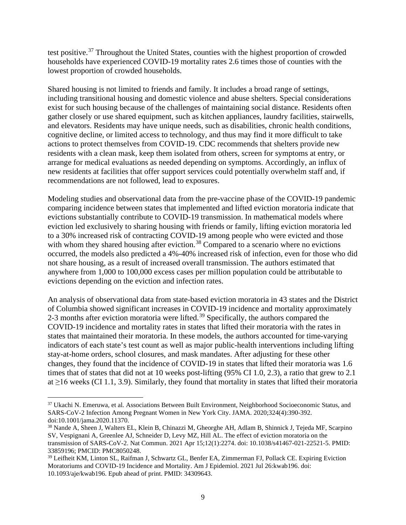test positive.[37](#page-8-0) Throughout the United States, counties with the highest proportion of crowded households have experienced COVID-19 mortality rates 2.6 times those of counties with the lowest proportion of crowded households.

Shared housing is not limited to friends and family. It includes a broad range of settings, including transitional housing and domestic violence and abuse shelters. Special considerations exist for such housing because of the challenges of maintaining social distance. Residents often gather closely or use shared equipment, such as kitchen appliances, laundry facilities, stairwells, and elevators. Residents may have unique needs, such as disabilities, chronic health conditions, cognitive decline, or limited access to technology, and thus may find it more difficult to take actions to protect themselves from COVID-19. CDC recommends that shelters provide new residents with a clean mask, keep them isolated from others, screen for symptoms at entry, or arrange for medical evaluations as needed depending on symptoms. Accordingly, an influx of new residents at facilities that offer support services could potentially overwhelm staff and, if recommendations are not followed, lead to exposures.

Modeling studies and observational data from the pre-vaccine phase of the COVID-19 pandemic comparing incidence between states that implemented and lifted eviction moratoria indicate that evictions substantially contribute to COVID-19 transmission. In mathematical models where eviction led exclusively to sharing housing with friends or family, lifting eviction moratoria led to a 30% increased risk of contracting COVID-19 among people who were evicted and those with whom they shared housing after eviction.<sup>[38](#page-8-1)</sup> Compared to a scenario where no evictions occurred, the models also predicted a 4%-40% increased risk of infection, even for those who did not share housing, as a result of increased overall transmission. The authors estimated that anywhere from 1,000 to 100,000 excess cases per million population could be attributable to evictions depending on the eviction and infection rates.

An analysis of observational data from state-based eviction moratoria in 43 states and the District of Columbia showed significant increases in COVID-19 incidence and mortality approximately 2-3 months after eviction moratoria were lifted.<sup>[39](#page-8-2)</sup> Specifically, the authors compared the COVID-19 incidence and mortality rates in states that lifted their moratoria with the rates in states that maintained their moratoria. In these models, the authors accounted for time-varying indicators of each state's test count as well as major public-health interventions including lifting stay-at-home orders, school closures, and mask mandates. After adjusting for these other changes, they found that the incidence of COVID-19 in states that lifted their moratoria was 1.6 times that of states that did not at 10 weeks post-lifting (95% CI 1.0, 2.3), a ratio that grew to 2.1 at ≥16 weeks (CI 1.1, 3.9). Similarly, they found that mortality in states that lifted their moratoria

<span id="page-8-0"></span><sup>&</sup>lt;sup>37</sup> Ukachi N. Emeruwa, et al. Associations Between Built Environment, Neighborhood Socioeconomic Status, and SARS-CoV-2 Infection Among Pregnant Women in New York City. JAMA. 2020;324(4):390-392. doi:10.1001/jama.2020.11370.

<span id="page-8-1"></span><sup>38</sup> Nande A, Sheen J, Walters EL, Klein B, Chinazzi M, Gheorghe AH, Adlam B, Shinnick J, Tejeda MF, Scarpino SV, Vespignani A, Greenlee AJ, Schneider D, Levy MZ, Hill AL. The effect of eviction moratoria on the transmission of SARS-CoV-2. Nat Commun. 2021 Apr 15;12(1):2274. doi: 10.1038/s41467-021-22521-5. PMID: 33859196; PMCID: PMC8050248.

<span id="page-8-2"></span><sup>39</sup> Leifheit KM, Linton SL, Raifman J, Schwartz GL, Benfer EA, Zimmerman FJ, Pollack CE. Expiring Eviction Moratoriums and COVID-19 Incidence and Mortality. Am J Epidemiol. 2021 Jul 26:kwab196. doi: 10.1093/aje/kwab196. Epub ahead of print. PMID: 34309643.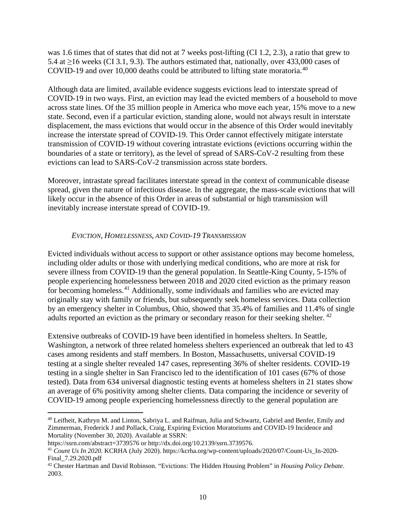was 1.6 times that of states that did not at 7 weeks post-lifting (CI 1.2, 2.3), a ratio that grew to 5.4 at  $\geq$ 16 weeks (CI 3.1, 9.3). The authors estimated that, nationally, over 433,000 cases of COVID-19 and over 10,000 deaths could be attributed to lifting state moratoria.<sup>[40](#page-9-0)</sup>

Although data are limited, available evidence suggests evictions lead to interstate spread of COVID-19 in two ways. First, an eviction may lead the evicted members of a household to move across state lines. Of the 35 million people in America who move each year, 15% move to a new state. Second, even if a particular eviction, standing alone, would not always result in interstate displacement, the mass evictions that would occur in the absence of this Order would inevitably increase the interstate spread of COVID-19. This Order cannot effectively mitigate interstate transmission of COVID-19 without covering intrastate evictions (evictions occurring within the boundaries of a state or territory), as the level of spread of SARS-CoV-2 resulting from these evictions can lead to SARS-CoV-2 transmission across state borders.

Moreover, intrastate spread facilitates interstate spread in the context of communicable disease spread, given the nature of infectious disease. In the aggregate, the mass-scale evictions that will likely occur in the absence of this Order in areas of substantial or high transmission will inevitably increase interstate spread of COVID-19.

## *EVICTION, HOMELESSNESS, AND COVID-19 TRANSMISSION*

Evicted individuals without access to support or other assistance options may become homeless, including older adults or those with underlying medical conditions, who are more at risk for severe illness from COVID-19 than the general population. In Seattle-King County, 5-15% of people experiencing homelessness between 2018 and 2020 cited eviction as the primary reason for becoming homeless.<sup>[41](#page-9-1)</sup> Additionally, some individuals and families who are evicted may originally stay with family or friends, but subsequently seek homeless services. Data collection by an emergency shelter in Columbus, Ohio, showed that 35.4% of families and 11.4% of single adults reported an eviction as the primary or secondary reason for their seeking shelter.<sup>[42](#page-9-2)</sup>

Extensive outbreaks of COVID-19 have been identified in homeless shelters. In Seattle, Washington, a network of three related homeless shelters experienced an outbreak that led to 43 cases among residents and staff members. In Boston, Massachusetts, universal COVID-19 testing at a single shelter revealed 147 cases, representing 36% of shelter residents. COVID-19 testing in a single shelter in San Francisco led to the identification of 101 cases (67% of those tested). Data from 634 universal diagnostic testing events at homeless shelters in 21 states show an average of 6% positivity among shelter clients. Data comparing the incidence or severity of COVID-19 among people experiencing homelessness directly to the general population are

<span id="page-9-0"></span><sup>40</sup> Leifheit, Kathryn M. and Linton, Sabriya L. and Raifman, Julia and Schwartz, Gabriel and Benfer, Emily and Zimmerman, Frederick J and Pollack, Craig, Expiring Eviction Moratoriums and COVID-19 Incidence and Mortality (November 30, 2020). Available at SSRN:

https://ssrn.com/abstract=3739576 or http://dx.doi.org/10.2139/ssrn.3739576.

<span id="page-9-1"></span><sup>41</sup> *Count Us In 2020.* KCRHA (July 2020). https://kcrha.org/wp-content/uploads/2020/07/Count-Us\_In-2020- Final\_7.29.2020.pdf

<span id="page-9-2"></span><sup>42</sup> Chester Hartman and David Robinson. "Evictions: The Hidden Housing Problem" in *Housing Policy Debate*. 2003.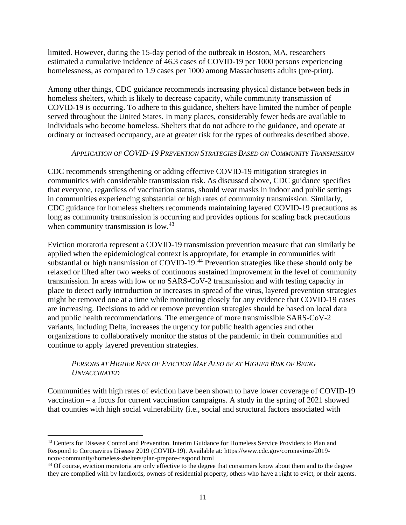limited. However, during the 15-day period of the outbreak in Boston, MA, researchers estimated a cumulative incidence of 46.3 cases of COVID-19 per 1000 persons experiencing homelessness, as compared to 1.9 cases per 1000 among Massachusetts adults (pre-print).

Among other things, CDC guidance recommends increasing physical distance between beds in homeless shelters, which is likely to decrease capacity, while community transmission of COVID-19 is occurring. To adhere to this guidance, shelters have limited the number of people served throughout the United States. In many places, considerably fewer beds are available to individuals who become homeless. Shelters that do not adhere to the guidance, and operate at ordinary or increased occupancy, are at greater risk for the types of outbreaks described above.

## *APPLICATION OF COVID-19 PREVENTION STRATEGIES BASED ON COMMUNITY TRANSMISSION*

CDC recommends strengthening or adding effective COVID-19 mitigation strategies in communities with considerable transmission risk. As discussed above, CDC guidance specifies that everyone, regardless of vaccination status, should wear masks in indoor and public settings in communities experiencing substantial or high rates of community transmission. Similarly, CDC guidance for homeless shelters recommends maintaining layered COVID-19 precautions as long as community transmission is occurring and provides options for scaling back precautions when community transmission is low.<sup>[43](#page-10-0)</sup>

Eviction moratoria represent a COVID-19 transmission prevention measure that can similarly be applied when the epidemiological context is appropriate, for example in communities with substantial or high transmission of COVID-19.<sup>[44](#page-10-1)</sup> Prevention strategies like these should only be relaxed or lifted after two weeks of continuous sustained improvement in the level of community transmission. In areas with low or no SARS-CoV-2 transmission and with testing capacity in place to detect early introduction or increases in spread of the virus, layered prevention strategies might be removed one at a time while monitoring closely for any evidence that COVID-19 cases are increasing. Decisions to add or remove prevention strategies should be based on local data and public health recommendations. The emergence of more transmissible SARS-CoV-2 variants, including Delta, increases the urgency for public health agencies and other organizations to collaboratively monitor the status of the pandemic in their communities and continue to apply layered prevention strategies.

# *PERSONS AT HIGHER RISK OF EVICTION MAY ALSO BE AT HIGHER RISK OF BEING UNVACCINATED*

Communities with high rates of eviction have been shown to have lower coverage of COVID-19 vaccination – a focus for current vaccination campaigns. A study in the spring of 2021 showed that counties with high social vulnerability (i.e., social and structural factors associated with

<span id="page-10-0"></span><sup>&</sup>lt;sup>43</sup> Centers for Disease Control and Prevention. Interim Guidance for Homeless Service Providers to Plan and Respond to Coronavirus Disease 2019 (COVID-19). Available at: https://www.cdc.gov/coronavirus/2019 ncov/community/homeless-shelters/plan-prepare-respond.html

<span id="page-10-1"></span><sup>44</sup> Of course, eviction moratoria are only effective to the degree that consumers know about them and to the degree they are complied with by landlords, owners of residential property, others who have a right to evict, or their agents.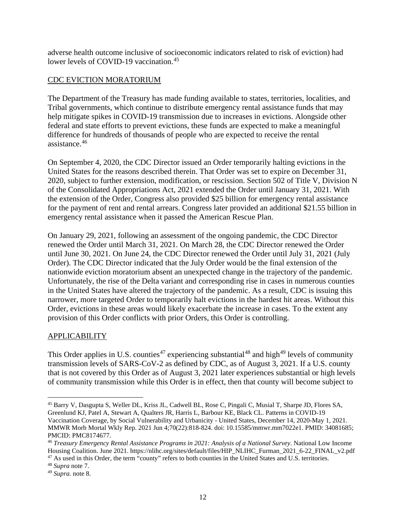adverse health outcome inclusive of socioeconomic indicators related to risk of eviction) had lower levels of COVID-19 vaccination.<sup>[45](#page-11-0)</sup>

## CDC EVICTION MORATORIUM

The Department of the Treasury has made funding available to states, territories, localities, and Tribal governments, which continue to distribute emergency rental assistance funds that may help mitigate spikes in COVID-19 transmission due to increases in evictions. Alongside other federal and state efforts to prevent evictions, these funds are expected to make a meaningful difference for hundreds of thousands of people who are expected to receive the rental assistance.[46](#page-11-1)

On September 4, 2020, the CDC Director issued an Order temporarily halting evictions in the United States for the reasons described therein. That Order was set to expire on December 31, 2020, subject to further extension, modification, or rescission. Section 502 of Title V, Division N of the Consolidated Appropriations Act, 2021 extended the Order until January 31, 2021. With the extension of the Order, Congress also provided \$25 billion for emergency rental assistance for the payment of rent and rental arrears. Congress later provided an additional \$21.55 billion in emergency rental assistance when it passed the American Rescue Plan.

On January 29, 2021, following an assessment of the ongoing pandemic, the CDC Director renewed the Order until March 31, 2021. On March 28, the CDC Director renewed the Order until June 30, 2021. On June 24, the CDC Director renewed the Order until July 31, 2021 (July Order). The CDC Director indicated that the July Order would be the final extension of the nationwide eviction moratorium absent an unexpected change in the trajectory of the pandemic. Unfortunately, the rise of the Delta variant and corresponding rise in cases in numerous counties in the United States have altered the trajectory of the pandemic. As a result, CDC is issuing this narrower, more targeted Order to temporarily halt evictions in the hardest hit areas. Without this Order, evictions in these areas would likely exacerbate the increase in cases. To the extent any provision of this Order conflicts with prior Orders, this Order is controlling.

## APPLICABILITY

This Order applies in U.S. counties<sup>[47](#page-11-2)</sup> experiencing substantial<sup>[48](#page-11-3)</sup> and high<sup>[49](#page-11-4)</sup> levels of community transmission levels of SARS-CoV-2 as defined by CDC, as of August 3, 2021. If a U.S. county that is not covered by this Order as of August 3, 2021 later experiences substantial or high levels of community transmission while this Order is in effect, then that county will become subject to

<span id="page-11-0"></span><sup>45</sup> Barry V, Dasgupta S, Weller DL, Kriss JL, Cadwell BL, Rose C, Pingali C, Musial T, Sharpe JD, Flores SA, Greenlund KJ, Patel A, Stewart A, Qualters JR, Harris L, Barbour KE, Black CL. Patterns in COVID-19 Vaccination Coverage, by Social Vulnerability and Urbanicity - United States, December 14, 2020-May 1, 2021. MMWR Morb Mortal Wkly Rep. 2021 Jun 4;70(22):818-824. doi: 10.15585/mmwr.mm7022e1. PMID: 34081685; PMCID: PMC8174677.

<span id="page-11-1"></span><sup>46</sup> *Treasury Emergency Rental Assistance Programs in 2021: Analysis of a National Survey*. National Low Income Housing Coalition. June 2021. https://nlihc.org/sites/default/files/HIP\_NLIHC\_Furman\_2021\_6-22\_FINAL\_v2.pdf <sup>47</sup> As used in this Order, the term "county" refers to both counties in the United States and U.S. territories. 48 *Supra* note 7.

<span id="page-11-3"></span><span id="page-11-2"></span>

<span id="page-11-4"></span><sup>49</sup> *Supra.* note 8.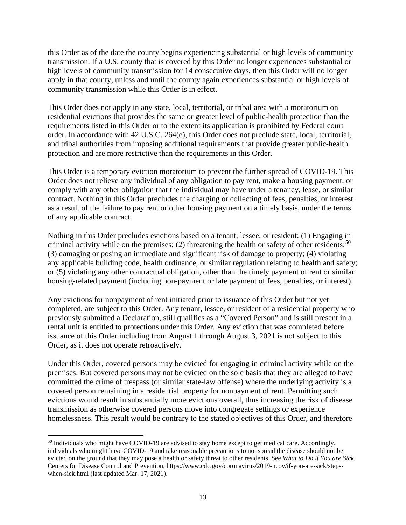this Order as of the date the county begins experiencing substantial or high levels of community transmission. If a U.S. county that is covered by this Order no longer experiences substantial or high levels of community transmission for 14 consecutive days, then this Order will no longer apply in that county, unless and until the county again experiences substantial or high levels of community transmission while this Order is in effect.

This Order does not apply in any state, local, territorial, or tribal area with a moratorium on residential evictions that provides the same or greater level of public-health protection than the requirements listed in this Order or to the extent its application is prohibited by Federal court order. In accordance with 42 U.S.C. 264(e), this Order does not preclude state, local, territorial, and tribal authorities from imposing additional requirements that provide greater public-health protection and are more restrictive than the requirements in this Order.

This Order is a temporary eviction moratorium to prevent the further spread of COVID-19. This Order does not relieve any individual of any obligation to pay rent, make a housing payment, or comply with any other obligation that the individual may have under a tenancy, lease, or similar contract. Nothing in this Order precludes the charging or collecting of fees, penalties, or interest as a result of the failure to pay rent or other housing payment on a timely basis, under the terms of any applicable contract.

Nothing in this Order precludes evictions based on a tenant, lessee, or resident: (1) Engaging in criminal activity while on the premises; (2) threatening the health or safety of other residents;<sup>[50](#page-12-0)</sup> (3) damaging or posing an immediate and significant risk of damage to property; (4) violating any applicable building code, health ordinance, or similar regulation relating to health and safety; or (5) violating any other contractual obligation, other than the timely payment of rent or similar housing-related payment (including non-payment or late payment of fees, penalties, or interest).

Any evictions for nonpayment of rent initiated prior to issuance of this Order but not yet completed, are subject to this Order. Any tenant, lessee, or resident of a residential property who previously submitted a Declaration, still qualifies as a "Covered Person" and is still present in a rental unit is entitled to protections under this Order. Any eviction that was completed before issuance of this Order including from August 1 through August 3, 2021 is not subject to this Order, as it does not operate retroactively.

Under this Order, covered persons may be evicted for engaging in criminal activity while on the premises. But covered persons may not be evicted on the sole basis that they are alleged to have committed the crime of trespass (or similar state-law offense) where the underlying activity is a covered person remaining in a residential property for nonpayment of rent. Permitting such evictions would result in substantially more evictions overall, thus increasing the risk of disease transmission as otherwise covered persons move into congregate settings or experience homelessness. This result would be contrary to the stated objectives of this Order, and therefore

<span id="page-12-0"></span><sup>&</sup>lt;sup>50</sup> Individuals who might have COVID-19 are advised to stay home except to get medical care. Accordingly, individuals who might have COVID-19 and take reasonable precautions to not spread the disease should not be evicted on the ground that they may pose a health or safety threat to other residents. See *What to Do if You are Sick,*  Centers for Disease Control and Prevention, https://www.cdc.gov/coronavirus/2019-ncov/if-you-are-sick/stepswhen-sick.html (last updated Mar. 17, 2021).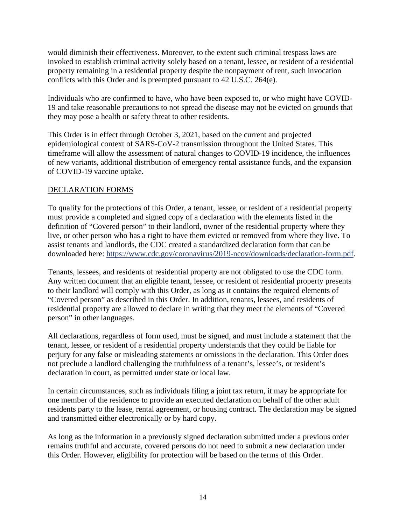would diminish their effectiveness. Moreover, to the extent such criminal trespass laws are invoked to establish criminal activity solely based on a tenant, lessee, or resident of a residential property remaining in a residential property despite the nonpayment of rent, such invocation conflicts with this Order and is preempted pursuant to 42 U.S.C. 264(e).

Individuals who are confirmed to have, who have been exposed to, or who might have COVID-19 and take reasonable precautions to not spread the disease may not be evicted on grounds that they may pose a health or safety threat to other residents.

This Order is in effect through October 3, 2021, based on the current and projected epidemiological context of SARS-CoV-2 transmission throughout the United States. This timeframe will allow the assessment of natural changes to COVID-19 incidence, the influences of new variants, additional distribution of emergency rental assistance funds, and the expansion of COVID-19 vaccine uptake.

# DECLARATION FORMS

To qualify for the protections of this Order, a tenant, lessee, or resident of a residential property must provide a completed and signed copy of a declaration with the elements listed in the definition of "Covered person" to their landlord, owner of the residential property where they live, or other person who has a right to have them evicted or removed from where they live. To assist tenants and landlords, the CDC created a standardized declaration form that can be downloaded here: [https://www.cdc.gov/coronavirus/2019-ncov/downloads/declaration-form.pdf.](https://www.cdc.gov/coronavirus/2019-ncov/downloads/declaration-form.pdf)

Tenants, lessees, and residents of residential property are not obligated to use the CDC form. Any written document that an eligible tenant, lessee, or resident of residential property presents to their landlord will comply with this Order, as long as it contains the required elements of "Covered person" as described in this Order. In addition, tenants, lessees, and residents of residential property are allowed to declare in writing that they meet the elements of "Covered person" in other languages.

All declarations, regardless of form used, must be signed, and must include a statement that the tenant, lessee, or resident of a residential property understands that they could be liable for perjury for any false or misleading statements or omissions in the declaration. This Order does not preclude a landlord challenging the truthfulness of a tenant's, lessee's, or resident's declaration in court, as permitted under state or local law.

In certain circumstances, such as individuals filing a joint tax return, it may be appropriate for one member of the residence to provide an executed declaration on behalf of the other adult residents party to the lease, rental agreement, or housing contract. The declaration may be signed and transmitted either electronically or by hard copy.

As long as the information in a previously signed declaration submitted under a previous order remains truthful and accurate, covered persons do not need to submit a new declaration under this Order. However, eligibility for protection will be based on the terms of this Order.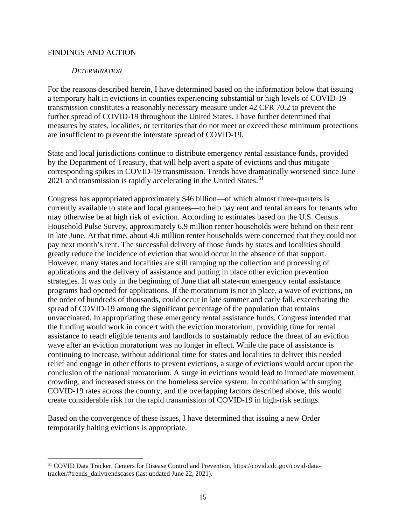#### FINDINGS AND ACTION

#### *DETERMINATION*

For the reasons described herein, I have determined based on the information below that issuing a temporary halt in evictions in counties experiencing substantial or high levels of COVID-19 transmission constitutes a reasonably necessary measure under 42 CFR 70.2 to prevent the further spread of COVID-19 throughout the United States. I have further determined that measures by states, localities, or territories that do not meet or exceed these minimum protections are insufficient to prevent the interstate spread of COVID-19.

State and local jurisdictions continue to distribute emergency rental assistance funds, provided by the Department of Treasury, that will help avert a spate of evictions and thus mitigate corresponding spikes in COVID-19 transmission. Trends have dramatically worsened since June  $2021$  and transmission is rapidly accelerating in the United States.<sup>[51](#page-14-0)</sup>

Congress has appropriated approximately \$46 billion—of which almost three-quarters is currently available to state and local grantees—to help pay rent and rental arrears for tenants who may otherwise be at high risk of eviction. According to estimates based on the U.S. Census Household Pulse Survey, approximately 6.9 million renter households were behind on their rent in late June. At that time, about 4.6 million renter households were concerned that they could not pay next month's rent. The successful delivery of those funds by states and localities should greatly reduce the incidence of eviction that would occur in the absence of that support. However, many states and localities are still ramping up the collection and processing of applications and the delivery of assistance and putting in place other eviction prevention strategies. It was only in the beginning of June that all state-run emergency rental assistance programs had opened for applications. If the moratorium is not in place, a wave of evictions, on the order of hundreds of thousands, could occur in late summer and early fall, exacerbating the spread of COVID-19 among the significant percentage of the population that remains unvaccinated. In appropriating these emergency rental assistance funds, Congress intended that the funding would work in concert with the eviction moratorium, providing time for rental assistance to reach eligible tenants and landlords to sustainably reduce the threat of an eviction wave after an eviction moratorium was no longer in effect. While the pace of assistance is continuing to increase, without additional time for states and localities to deliver this needed relief and engage in other efforts to prevent evictions, a surge of evictions would occur upon the conclusion of the national moratorium. A surge in evictions would lead to immediate movement, crowding, and increased stress on the homeless service system. In combination with surging COVID-19 rates across the country, and the overlapping factors described above, this would create considerable risk for the rapid transmission of COVID-19 in high-risk settings.

Based on the convergence of these issues, I have determined that issuing a new Order temporarily halting evictions is appropriate.

<span id="page-14-0"></span><sup>51</sup> COVID Data Tracker, Centers for Disease Control and Prevention, https://covid.cdc.gov/covid-datatracker/#trends\_dailytrendscases (last updated June 22, 2021).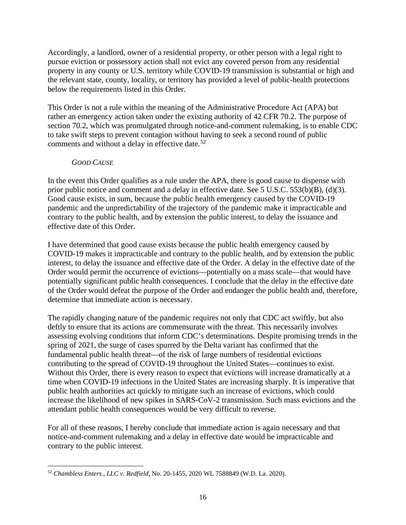Accordingly, a landlord, owner of a residential property, or other person with a legal right to pursue eviction or possessory action shall not evict any covered person from any residential property in any county or U.S. territory while COVID-19 transmission is substantial or high and the relevant state, county, locality, or territory has provided a level of public-health protections below the requirements listed in this Order.

This Order is not a rule within the meaning of the Administrative Procedure Act (APA) but rather an emergency action taken under the existing authority of 42 CFR 70.2. The purpose of section 70.2, which was promulgated through notice-and-comment rulemaking, is to enable CDC to take swift steps to prevent contagion without having to seek a second round of public comments and without a delay in effective date. $52$ 

# *GOOD CAUSE*

In the event this Order qualifies as a rule under the APA, there is good cause to dispense with prior public notice and comment and a delay in effective date. See 5 U.S.C. 553(b)(B), (d)(3). Good cause exists, in sum, because the public health emergency caused by the COVID-19 pandemic and the unpredictability of the trajectory of the pandemic make it impracticable and contrary to the public health, and by extension the public interest, to delay the issuance and effective date of this Order.

I have determined that good cause exists because the public health emergency caused by COVID-19 makes it impracticable and contrary to the public health, and by extension the public interest, to delay the issuance and effective date of the Order. A delay in the effective date of the Order would permit the occurrence of evictions—potentially on a mass scale—that would have potentially significant public health consequences. I conclude that the delay in the effective date of the Order would defeat the purpose of the Order and endanger the public health and, therefore, determine that immediate action is necessary.

The rapidly changing nature of the pandemic requires not only that CDC act swiftly, but also deftly to ensure that its actions are commensurate with the threat. This necessarily involves assessing evolving conditions that inform CDC's determinations. Despite promising trends in the spring of 2021, the surge of cases spurred by the Delta variant has confirmed that the fundamental public health threat—of the risk of large numbers of residential evictions contributing to the spread of COVID-19 throughout the United States—continues to exist. Without this Order, there is every reason to expect that evictions will increase dramatically at a time when COVID-19 infections in the United States are increasing sharply. It is imperative that public health authorities act quickly to mitigate such an increase of evictions, which could increase the likelihood of new spikes in SARS-CoV-2 transmission. Such mass evictions and the attendant public health consequences would be very difficult to reverse.

For all of these reasons, I hereby conclude that immediate action is again necessary and that notice-and-comment rulemaking and a delay in effective date would be impracticable and contrary to the public interest.

<span id="page-15-0"></span><sup>52</sup> *Chambless Enters., LLC v. Redfield,* No. 20-1455, 2020 WL 7588849 (W.D. La. 2020).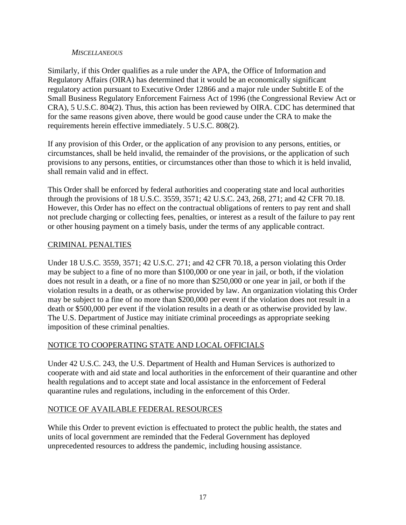### *MISCELLANEOUS*

Similarly, if this Order qualifies as a rule under the APA, the Office of Information and Regulatory Affairs (OIRA) has determined that it would be an economically significant regulatory action pursuant to Executive Order 12866 and a major rule under Subtitle E of the Small Business Regulatory Enforcement Fairness Act of 1996 (the Congressional Review Act or CRA), 5 U.S.C. 804(2). Thus, this action has been reviewed by OIRA. CDC has determined that for the same reasons given above, there would be good cause under the CRA to make the requirements herein effective immediately. 5 U.S.C. 808(2).

If any provision of this Order, or the application of any provision to any persons, entities, or circumstances, shall be held invalid, the remainder of the provisions, or the application of such provisions to any persons, entities, or circumstances other than those to which it is held invalid, shall remain valid and in effect.

This Order shall be enforced by federal authorities and cooperating state and local authorities through the provisions of 18 U.S.C. 3559, 3571; 42 U.S.C. 243, 268, 271; and 42 CFR 70.18. However, this Order has no effect on the contractual obligations of renters to pay rent and shall not preclude charging or collecting fees, penalties, or interest as a result of the failure to pay rent or other housing payment on a timely basis, under the terms of any applicable contract.

# CRIMINAL PENALTIES

Under 18 U.S.C. 3559, 3571; 42 U.S.C. 271; and 42 CFR 70.18, a person violating this Order may be subject to a fine of no more than \$100,000 or one year in jail, or both, if the violation does not result in a death, or a fine of no more than \$250,000 or one year in jail, or both if the violation results in a death, or as otherwise provided by law. An organization violating this Order may be subject to a fine of no more than \$200,000 per event if the violation does not result in a death or \$500,000 per event if the violation results in a death or as otherwise provided by law. The U.S. Department of Justice may initiate criminal proceedings as appropriate seeking imposition of these criminal penalties.

## NOTICE TO COOPERATING STATE AND LOCAL OFFICIALS

Under 42 U.S.C. 243, the U.S. Department of Health and Human Services is authorized to cooperate with and aid state and local authorities in the enforcement of their quarantine and other health regulations and to accept state and local assistance in the enforcement of Federal quarantine rules and regulations, including in the enforcement of this Order.

## NOTICE OF AVAILABLE FEDERAL RESOURCES

While this Order to prevent eviction is effectuated to protect the public health, the states and units of local government are reminded that the Federal Government has deployed unprecedented resources to address the pandemic, including housing assistance.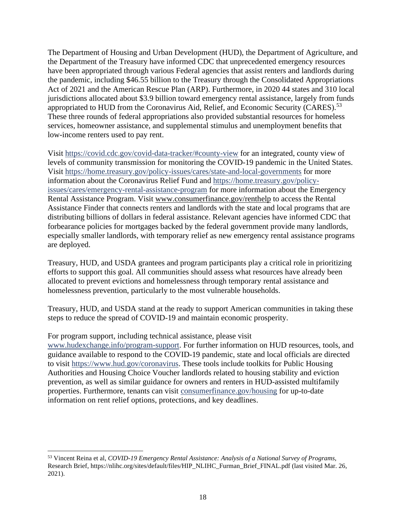The Department of Housing and Urban Development (HUD), the Department of Agriculture, and the Department of the Treasury have informed CDC that unprecedented emergency resources have been appropriated through various Federal agencies that assist renters and landlords during the pandemic, including \$46.55 billion to the Treasury through the Consolidated Appropriations Act of 2021 and the American Rescue Plan (ARP). Furthermore, in 2020 44 states and 310 local jurisdictions allocated about \$3.9 billion toward emergency rental assistance, largely from funds appropriated to HUD from the Coronavirus Aid, Relief, and Economic Security (CARES).<sup>[53](#page-17-0)</sup> These three rounds of federal appropriations also provided substantial resources for homeless services, homeowner assistance, and supplemental stimulus and unemployment benefits that low-income renters used to pay rent.

Visit<https://covid.cdc.gov/covid-data-tracker/#county-view> for an integrated, county view of levels of community transmission for monitoring the COVID-19 pandemic in the United States. Visit <https://home.treasury.gov/policy-issues/cares/state-and-local-governments> for more information about the Coronavirus Relief Fund and [https://home.treasury.gov/policy](https://home.treasury.gov/policy-issues/cares/emergency-rental-assistance-program)[issues/cares/emergency-rental-assistance-program](https://home.treasury.gov/policy-issues/cares/emergency-rental-assistance-program) for more information about the Emergency Rental Assistance Program. Visit [www.consumerfinance.gov/renthelp](http://www.consumerfinance.gov/renthelp) to access the Rental Assistance Finder that connects renters and landlords with the state and local programs that are distributing billions of dollars in federal assistance. Relevant agencies have informed CDC that forbearance policies for mortgages backed by the federal government provide many landlords, especially smaller landlords, with temporary relief as new emergency rental assistance programs are deployed.

Treasury, HUD, and USDA grantees and program participants play a critical role in prioritizing efforts to support this goal. All communities should assess what resources have already been allocated to prevent evictions and homelessness through temporary rental assistance and homelessness prevention, particularly to the most vulnerable households.

Treasury, HUD, and USDA stand at the ready to support American communities in taking these steps to reduce the spread of COVID-19 and maintain economic prosperity.

#### For program support, including technical assistance, please visit

[www.hudexchange.info/program-support.](http://www.hudexchange.info/program-support) For further information on HUD resources, tools, and guidance available to respond to the COVID-19 pandemic, state and local officials are directed to visit [https://www.hud.gov/coronavirus.](https://www.hud.gov/coronavirus) These tools include toolkits for Public Housing Authorities and Housing Choice Voucher landlords related to housing stability and eviction prevention, as well as similar guidance for owners and renters in HUD-assisted multifamily properties. Furthermore, tenants can visit consumerfinance.gov/housing for up-to-date information on rent relief options, protections, and key deadlines.

<span id="page-17-0"></span><sup>53</sup> Vincent Reina et al, *COVID-19 Emergency Rental Assistance: Analysis of a National Survey of Programs*, Research Brief, https://nlihc.org/sites/default/files/HIP\_NLIHC\_Furman\_Brief\_FINAL.pdf (last visited Mar. 26, 2021).